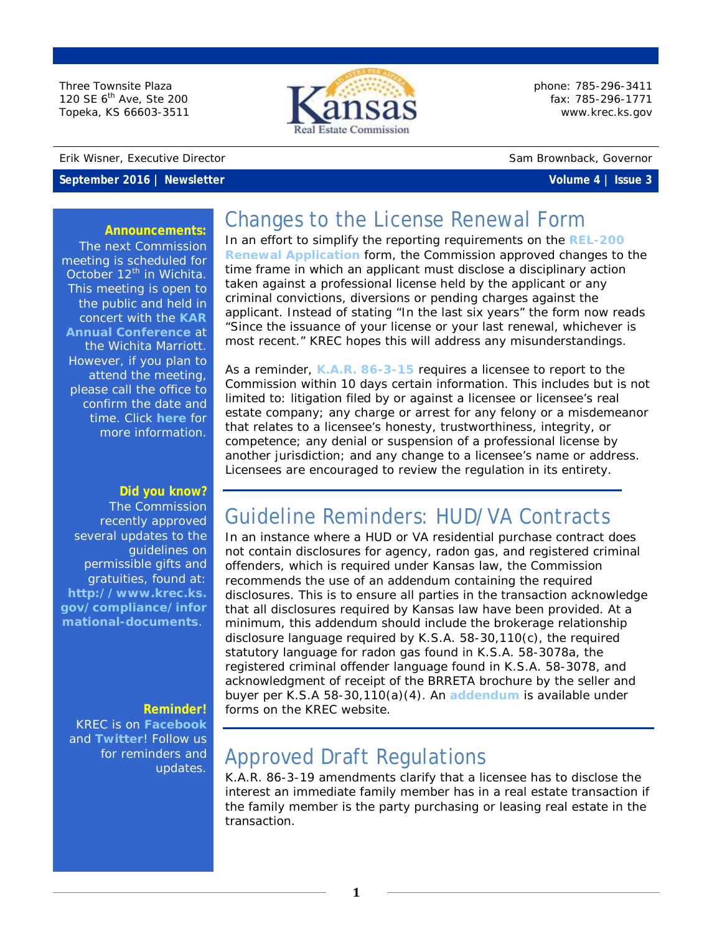Three Townsite Plaza 120 SE 6<sup>th</sup> Ave, Ste 200 Topeka, KS 66603-3511

#### Erik Wisner, Executive Director Sam Brownback, Governor

### **September 2016 | Newsletter Volume 4 | Issue 3**



phone: 785-296-3411 fax: 785-296-1771 [www.krec.ks.gov](http://www.krec.ks.gov/)

#### **Announcements:**

The next Commission meeting is scheduled for October  $12^{th}$  in Wichita. This meeting is open to the public and held in concert with the **[KAR](https://kansasrealtor.com/events/kar-annual-conference-and-education-expo/)  [Annual Conference](https://kansasrealtor.com/events/kar-annual-conference-and-education-expo/)** at the Wichita Marriott. However, if you plan to attend the meeting, please call the office to confirm the date and time. Click **[here](http://krec.ks.gov/commission/commission-meetings)** for more information.

### **Did you know?**

The Commission recently approved several updates to the guidelines on permissible gifts and gratuities, found at: **[http://www.krec.ks.](http://www.krec.ks.gov/compliance/informational-documents) [gov/compliance/infor](http://www.krec.ks.gov/compliance/informational-documents) [mational-documents](http://www.krec.ks.gov/compliance/informational-documents)**.

### **Reminder!**

KREC is on **[Facebook](https://www.facebook.com/KansasRealEstateCommission/)** and **[Twitter](https://twitter.com/KSRealEstateCom)**! Follow us for reminders and updates.

# Changes to the License Renewal Form

In an effort to simplify the reporting requirements on the **[REL-200](http://www.krec.ks.gov/docs/default-source/forms/rel-200-renewal-application-with-late-addendumb895000f62fe6c688173ff0000b1b3c4.pdf?sfvrsn=2)  [Renewal Application](http://www.krec.ks.gov/docs/default-source/forms/rel-200-renewal-application-with-late-addendumb895000f62fe6c688173ff0000b1b3c4.pdf?sfvrsn=2)** form, the Commission approved changes to the time frame in which an applicant must disclose a disciplinary action taken against a professional license held by the applicant or any criminal convictions, diversions or pending charges against the applicant. Instead of stating "In the last six years" the form now reads "Since the issuance of your license or your last renewal, whichever is most recent." KREC hopes this will address any misunderstandings.

As a reminder, **[K.A.R. 86-3-15](https://www.krec.ks.gov/docs/default-source/default-document-library/kansas-real-estate-commission-statutes-rules-and-regulations---effective-july-1-2016.pdf?sfvrsn=2)** requires a licensee to report to the Commission within 10 days certain information. This includes but is not limited to: litigation filed by or against a licensee or licensee's real estate company; any charge or arrest for any felony or a misdemeanor that relates to a licensee's honesty, trustworthiness, integrity, or competence; any denial or suspension of a professional license by another jurisdiction; and any change to a licensee's name or address. Licensees are encouraged to review the regulation in its entirety.

# Guideline Reminders: HUD/VA Contracts

In an instance where a HUD or VA residential purchase contract does not contain disclosures for agency, radon gas, and registered criminal offenders, which is required under Kansas law, the Commission recommends the use of an addendum containing the required disclosures. This is to ensure all parties in the transaction acknowledge that all disclosures required by Kansas law have been provided. At a minimum, this addendum should include the brokerage relationship disclosure language required by K.S.A. 58-30,110(c), the required statutory language for radon gas found in K.S.A. 58-3078a, the registered criminal offender language found in K.S.A. 58-3078, and acknowledgment of receipt of the BRRETA brochure by the seller and buyer per K.S.A 58-30,110(a)(4). An **[addendum](http://www.krec.ks.gov/docs/default-source/forms/required-statutory-disclosures-addendum.pdf?sfvrsn=4)** is available under forms on the KREC website.

# Approved Draft Regulations

K.A.R. 86-3-19 amendments clarify that a licensee has to disclose the interest an immediate family member has in a real estate transaction if the family member is the party purchasing or leasing real estate in the transaction.